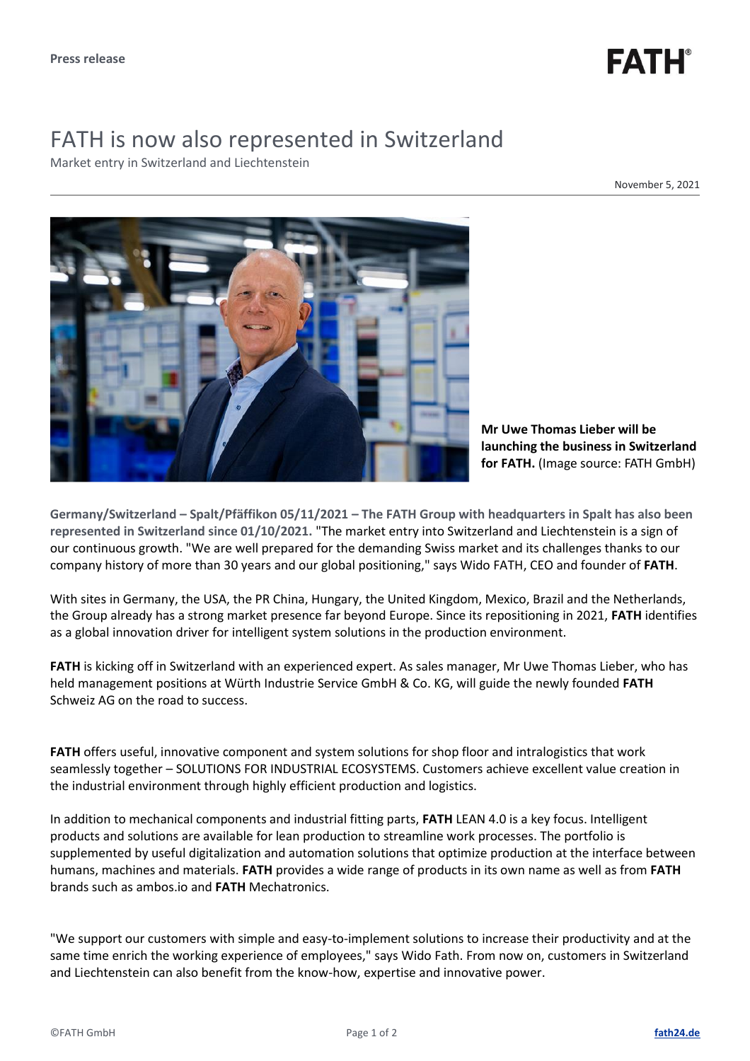

## FATH is now also represented in Switzerland

Market entry in Switzerland and Liechtenstein

November 5, 2021



**Mr Uwe Thomas Lieber will be launching the business in Switzerland for FATH.** (Image source: FATH GmbH)

**Germany/Switzerland – Spalt/Pfäffikon 05/11/2021 – The FATH Group with headquarters in Spalt has also been represented in Switzerland since 01/10/2021.** "The market entry into Switzerland and Liechtenstein is a sign of our continuous growth. "We are well prepared for the demanding Swiss market and its challenges thanks to our company history of more than 30 years and our global positioning," says Wido FATH, CEO and founder of **FATH**.

With sites in Germany, the USA, the PR China, Hungary, the United Kingdom, Mexico, Brazil and the Netherlands, the Group already has a strong market presence far beyond Europe. Since its repositioning in 2021, **FATH** identifies as a global innovation driver for intelligent system solutions in the production environment.

**FATH** is kicking off in Switzerland with an experienced expert. As sales manager, Mr Uwe Thomas Lieber, who has held management positions at Würth Industrie Service GmbH & Co. KG, will guide the newly founded **FATH** Schweiz AG on the road to success.

**FATH** offers useful, innovative component and system solutions for shop floor and intralogistics that work seamlessly together – SOLUTIONS FOR INDUSTRIAL ECOSYSTEMS. Customers achieve excellent value creation in the industrial environment through highly efficient production and logistics.

In addition to mechanical components and industrial fitting parts, **FATH** LEAN 4.0 is a key focus. Intelligent products and solutions are available for lean production to streamline work processes. The portfolio is supplemented by useful digitalization and automation solutions that optimize production at the interface between humans, machines and materials. **FATH** provides a wide range of products in its own name as well as from **FATH** brands such as ambos.io and **FATH** Mechatronics.

"We support our customers with simple and easy-to-implement solutions to increase their productivity and at the same time enrich the working experience of employees," says Wido Fath. From now on, customers in Switzerland and Liechtenstein can also benefit from the know-how, expertise and innovative power.